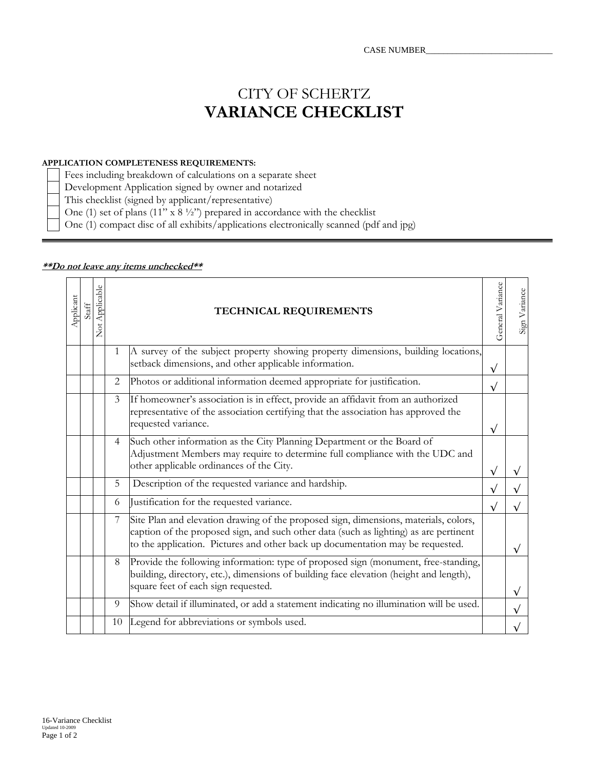## CITY OF SCHERTZ **VARIANCE CHECKLIST**

## **APPLICATION COMPLETENESS REQUIREMENTS:**

Fees including breakdown of calculations on a separate sheet

Development Application signed by owner and notarized

This checklist (signed by applicant/representative)

One (1) set of plans (11" x  $8\frac{1}{2}$ ") prepared in accordance with the checklist

One (1) compact disc of all exhibits/applications electronically scanned (pdf and jpg)

| Applicant | Staff | Not Applicable |                | TECHNICAL REQUIREMENTS                                                                                                                                                                                                                                          | General Variance | Sign Variance |
|-----------|-------|----------------|----------------|-----------------------------------------------------------------------------------------------------------------------------------------------------------------------------------------------------------------------------------------------------------------|------------------|---------------|
|           |       |                | $\mathbf{1}$   | A survey of the subject property showing property dimensions, building locations,<br>setback dimensions, and other applicable information.                                                                                                                      | $\sqrt{}$        |               |
|           |       |                | 2              | Photos or additional information deemed appropriate for justification.                                                                                                                                                                                          | $\sqrt{}$        |               |
|           |       |                | 3              | If homeowner's association is in effect, provide an affidavit from an authorized<br>representative of the association certifying that the association has approved the<br>requested variance.                                                                   | $\sqrt{}$        |               |
|           |       |                | $\overline{4}$ | Such other information as the City Planning Department or the Board of<br>Adjustment Members may require to determine full compliance with the UDC and<br>other applicable ordinances of the City.                                                              |                  |               |
|           |       |                | 5              | Description of the requested variance and hardship.                                                                                                                                                                                                             |                  |               |
|           |       |                | 6              | Justification for the requested variance.                                                                                                                                                                                                                       | $\sqrt{}$        |               |
|           |       |                | $\overline{7}$ | Site Plan and elevation drawing of the proposed sign, dimensions, materials, colors,<br>caption of the proposed sign, and such other data (such as lighting) as are pertinent<br>to the application. Pictures and other back up documentation may be requested. |                  |               |
|           |       |                | 8              | Provide the following information: type of proposed sign (monument, free-standing,<br>building, directory, etc.), dimensions of building face elevation (height and length),<br>square feet of each sign requested.                                             |                  |               |
|           |       |                | 9              | Show detail if illuminated, or add a statement indicating no illumination will be used.                                                                                                                                                                         |                  |               |
|           |       |                | 10             | Legend for abbreviations or symbols used.                                                                                                                                                                                                                       |                  |               |

## **\*\*Do not leave any items unchecked\*\***